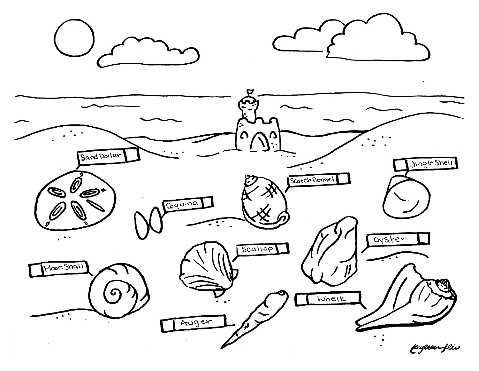